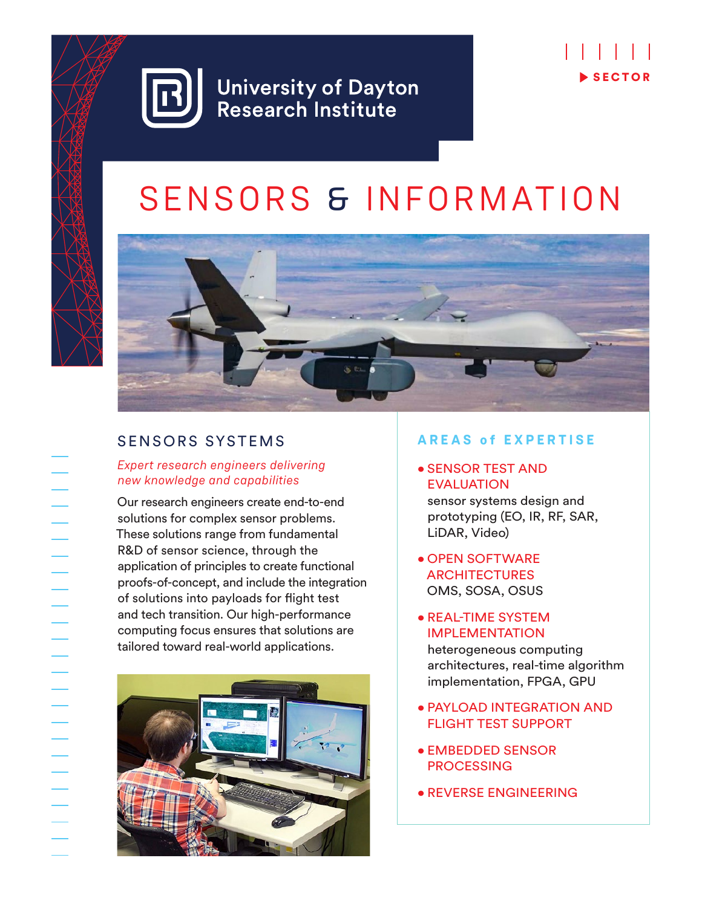

# SENSORS & INFORMATION



# SENSORS SYSTEMS

### *Expert research engineers delivering new knowledge and capabilities*

Our research engineers create end-to-end solutions for complex sensor problems. These solutions range from fundamental R&D of sensor science, through the application of principles to create functional proofs-of-concept, and include the integration of solutions into payloads for flight test and tech transition. Our high-performance computing focus ensures that solutions are tailored toward real-world applications.



### **AREAS of EXPERTISE**

## • SENSOR TEST AND EVALUATION sensor systems design and

prototyping (EO, IR, RF, SAR, LiDAR, Video)

- OPEN SOFTWARE **ARCHITECTURES** OMS, SOSA, OSUS
- REAL-TIME SYSTEM IMPLEMENTATION heterogeneous computing architectures, real-time algorithm implementation, FPGA, GPU
- PAYLOAD INTEGRATION AND FLIGHT TEST SUPPORT
- EMBEDDED SENSOR **PROCESSING**
- REVERSE ENGINEERING